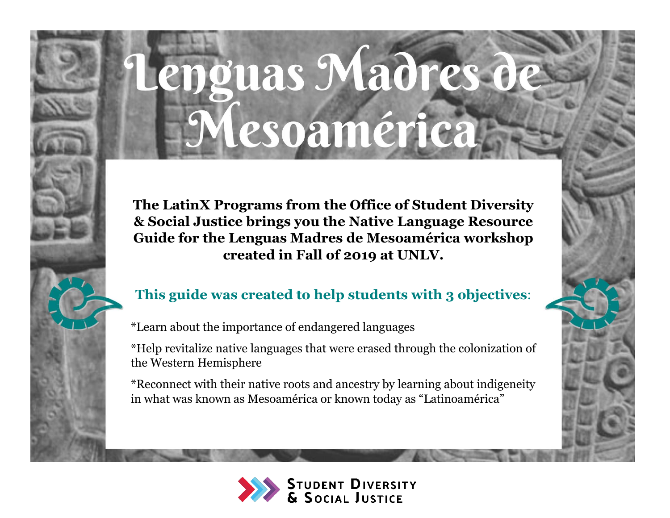# enguas Madres d Mesoamérica

**The LatinX Programs from the Office of Student Diversity & Social Justice brings you the Native Language Resource Guide for the Lenguas Madres de Mesoamérica workshop created in Fall of 2019 at UNLV.**

# **This guide was created to help students with 3 objectives**:

\*Learn about the importance of endangered languages

\*Help revitalize native languages that were erased through the colonization of the Western Hemisphere

\*Reconnect with their native roots and ancestry by learning about indigeneity in what was known as Mesoamérica or known today as "Latinoamérica"

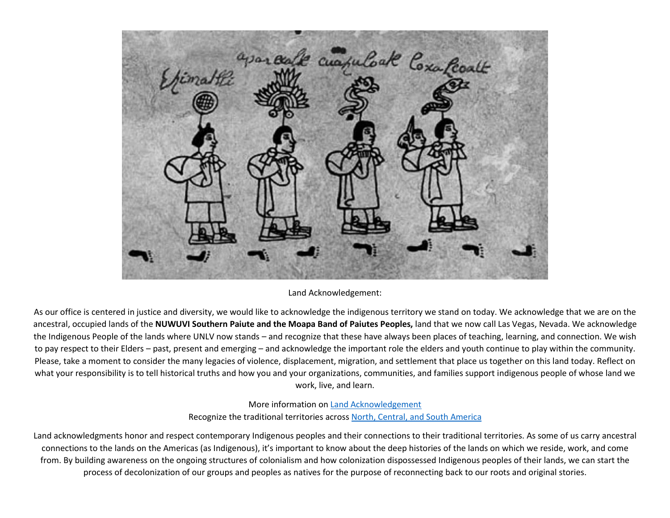

### Land Acknowledgement:

As our office is centered in justice and diversity, we would like to acknowledge the indigenous territory we stand on today. We acknowledge that we are on the ancestral, occupied lands of the **NUWUVI Southern Paiute and the Moapa Band of Paiutes Peoples,** land that we now call Las Vegas, Nevada. We acknowledge the Indigenous People of the lands where UNLV now stands – and recognize that these have always been places of teaching, learning, and connection. We wish to pay respect to their Elders – past, present and emerging – and acknowledge the important role the elders and youth continue to play within the community. Please, take a moment to consider the many legacies of violence, displacement, migration, and settlement that place us together on this land today. Reflect on what your responsibility is to tell historical truths and how you and your organizations, communities, and families support indigenous people of whose land we work, live, and learn.

### More information o[n Land Acknowledgement](https://usdac.us/nativeland) Recognize the traditional territories across [North, Central, and South America](https://native-land.ca/)

Land acknowledgments honor and respect contemporary Indigenous peoples and their connections to their traditional territories. As some of us carry ancestral connections to the lands on the Americas (as Indigenous), it's important to know about the deep histories of the lands on which we reside, work, and come from. By building awareness on the ongoing structures of colonialism and how colonization dispossessed Indigenous peoples of their lands, we can start the process of decolonization of our groups and peoples as natives for the purpose of reconnecting back to our roots and original stories.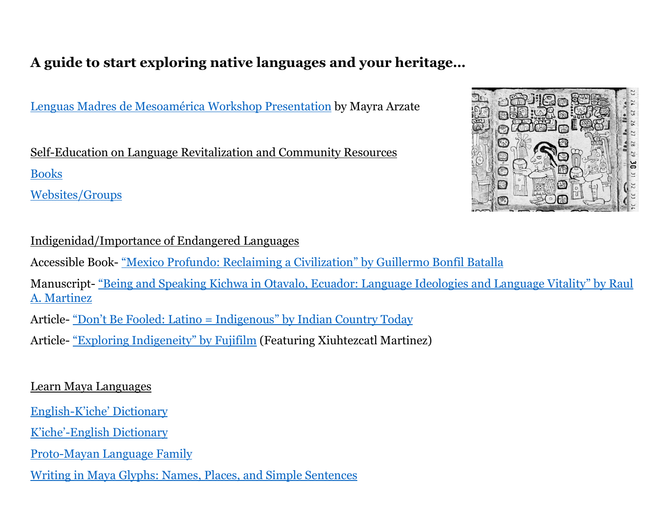# **A guide to start exploring native languages and your heritage…**

Lenguas Madres de Mesoamérica [Workshop Presentation](https://drive.google.com/file/d/1CdZpLzNSET68oqEJBZfV2muUb-nrfgN-/view?usp=sharing) by Mayra Arzate

Self-Education on Language Revitalization and Community Resources [Books](https://drive.google.com/file/d/1KiRmeC1vJINLto-MvBUY333N4hdkOIfM/view?usp=sharing)

[Websites/Groups](https://drive.google.com/file/d/1QKQNxn1S9IyqVQub9N4vzY-abvc71rqX/view?usp=sharing)

## Indigenidad/Importance of Endangered Languages

Accessible Book- "[Mexico Profundo: Reclaiming a Civilization](https://drive.google.com/file/d/1Fw3nKk-Qt2uxE3MhrqYhCwT20QRteHAb/view?usp=sharing)" by Guillermo Bonfil Batalla

Manuscript- "Be[ing and Speaking Kichwa in Otavalo, Ecuador: Language Ideologies and Language Vitality](https://drive.google.com/file/d/1t3SSQ7hPkGTCdSy_a9FvuG_Ux8WTpvRa/view?usp=sharing)" by Raul [A. Martinez](https://drive.google.com/file/d/1t3SSQ7hPkGTCdSy_a9FvuG_Ux8WTpvRa/view?usp=sharing)

Article- "Don't Be Fo[oled: Latino = Indigenous](https://drive.google.com/file/d/1IN9aPeU_0z-4u_hqBK6KMUC1ksOu813i/view?usp=sharing)" by Indian Country Today

Article- ["Exploring Indi](https://drive.google.com/file/d/1fzVb4d8Djc-dCafXlGPSUBjmJCmfjxEo/view?usp=sharing)geneity" by Fujifilm (Featuring Xiuhtezcatl Martinez)

### Learn Maya Languages

English-K'iche[' Dictionary](https://drive.google.com/file/d/1lIpwfEdjgFe_U4Pzoayw_Tq_x2RqSHMD/view?usp=sharing)

K'iche'[-English Dictionary](https://drive.google.com/file/d/1v8HJK9qIponrHdlBWoLVJRub-DZSLPtR/view?usp=sharing)

[Proto-Mayan Language](https://drive.google.com/file/d/1PPqlgfmAYsaSYWpDkBEjp5AYK30kNMM1/view?usp=sharing) Family

[Writing in Maya Glyphs: Names, Places, and Simple Sentences](https://drive.google.com/file/d/1VJuxwJ9bkgbubsEdGFyIqjglcR5cYbkk/view?usp=sharing)